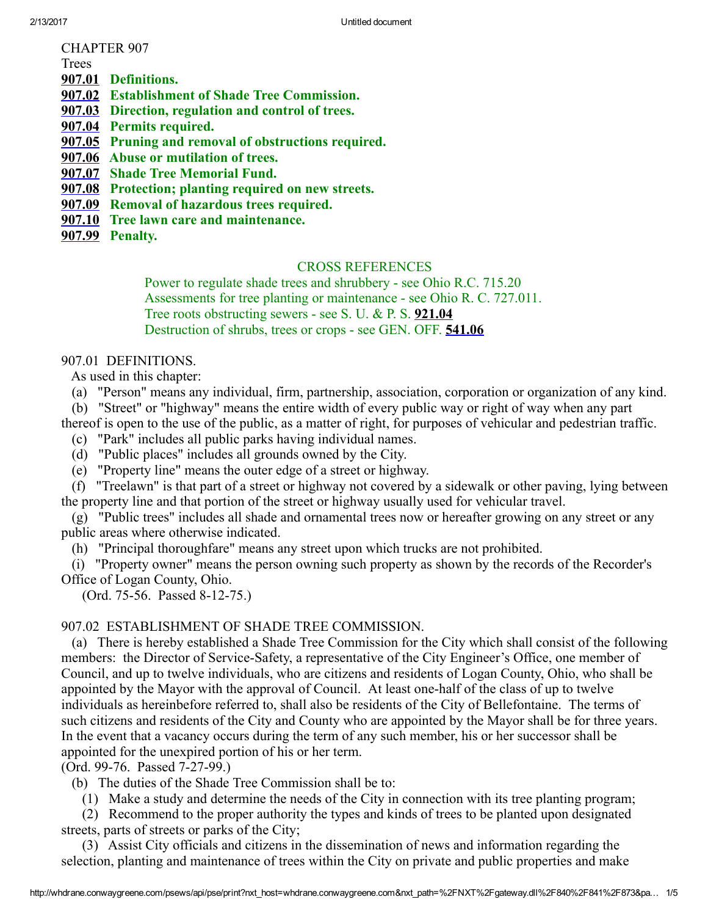CHAPTER 907

Trees

[907.01](http://whdrane.conwaygreene.com/nxt/gateway.dll?f=jumplink$jumplink_x=Advanced$jumplink_vpc=first$jumplink_xsl=querylink.xsl$jumplink_sel=title;path;content-type;home-title;item-bookmark$jumplink_d=bellefon$jumplink_q=[field%20folio-destination-name:%27907.01%27]$jumplink_md=target-id=0-0-0-1887) Definitions.

[907.02](http://whdrane.conwaygreene.com/nxt/gateway.dll?f=jumplink$jumplink_x=Advanced$jumplink_vpc=first$jumplink_xsl=querylink.xsl$jumplink_sel=title;path;content-type;home-title;item-bookmark$jumplink_d=bellefon$jumplink_q=[field%20folio-destination-name:%27907.02%27]$jumplink_md=target-id=0-0-0-1889) Establishment of Shade Tree Commission.

[907.03](http://whdrane.conwaygreene.com/nxt/gateway.dll?f=jumplink$jumplink_x=Advanced$jumplink_vpc=first$jumplink_xsl=querylink.xsl$jumplink_sel=title;path;content-type;home-title;item-bookmark$jumplink_d=bellefon$jumplink_q=[field%20folio-destination-name:%27907.03%27]$jumplink_md=target-id=0-0-0-1891) Direction, regulation and control of trees.

[907.04](http://whdrane.conwaygreene.com/nxt/gateway.dll?f=jumplink$jumplink_x=Advanced$jumplink_vpc=first$jumplink_xsl=querylink.xsl$jumplink_sel=title;path;content-type;home-title;item-bookmark$jumplink_d=bellefon$jumplink_q=[field%20folio-destination-name:%27907.04%27]$jumplink_md=target-id=0-0-0-269) Permits required.

[907.05](http://whdrane.conwaygreene.com/nxt/gateway.dll?f=jumplink$jumplink_x=Advanced$jumplink_vpc=first$jumplink_xsl=querylink.xsl$jumplink_sel=title;path;content-type;home-title;item-bookmark$jumplink_d=bellefon$jumplink_q=[field%20folio-destination-name:%27907.05%27]$jumplink_md=target-id=0-0-0-1893) Pruning and removal of obstructions required.

[907.06](http://whdrane.conwaygreene.com/nxt/gateway.dll?f=jumplink$jumplink_x=Advanced$jumplink_vpc=first$jumplink_xsl=querylink.xsl$jumplink_sel=title;path;content-type;home-title;item-bookmark$jumplink_d=bellefon$jumplink_q=[field%20folio-destination-name:%27907.06%27]$jumplink_md=target-id=0-0-0-1895) Abuse or mutilation of trees.

[907.07](http://whdrane.conwaygreene.com/nxt/gateway.dll?f=jumplink$jumplink_x=Advanced$jumplink_vpc=first$jumplink_xsl=querylink.xsl$jumplink_sel=title;path;content-type;home-title;item-bookmark$jumplink_d=bellefon$jumplink_q=[field%20folio-destination-name:%27907.07%27]$jumplink_md=target-id=0-0-0-1897) Shade Tree Memorial Fund.

[907.08](http://whdrane.conwaygreene.com/nxt/gateway.dll?f=jumplink$jumplink_x=Advanced$jumplink_vpc=first$jumplink_xsl=querylink.xsl$jumplink_sel=title;path;content-type;home-title;item-bookmark$jumplink_d=bellefon$jumplink_q=[field%20folio-destination-name:%27907.08%27]$jumplink_md=target-id=0-0-0-1899) Protection; planting required on new streets.

[907.09](http://whdrane.conwaygreene.com/nxt/gateway.dll?f=jumplink$jumplink_x=Advanced$jumplink_vpc=first$jumplink_xsl=querylink.xsl$jumplink_sel=title;path;content-type;home-title;item-bookmark$jumplink_d=bellefon$jumplink_q=[field%20folio-destination-name:%27907.09%27]$jumplink_md=target-id=0-0-0-1901) Removal of hazardous trees required.

[907.10](http://whdrane.conwaygreene.com/nxt/gateway.dll?f=jumplink$jumplink_x=Advanced$jumplink_vpc=first$jumplink_xsl=querylink.xsl$jumplink_sel=title;path;content-type;home-title;item-bookmark$jumplink_d=bellefon$jumplink_q=[field%20folio-destination-name:%27907.10%27]$jumplink_md=target-id=0-0-0-1903) Tree lawn care and maintenance.

[907.99](http://whdrane.conwaygreene.com/nxt/gateway.dll?f=jumplink$jumplink_x=Advanced$jumplink_vpc=first$jumplink_xsl=querylink.xsl$jumplink_sel=title;path;content-type;home-title;item-bookmark$jumplink_d=bellefon$jumplink_q=[field%20folio-destination-name:%27907.99%27]$jumplink_md=target-id=0-0-0-1905) Penalty.

#### CROSS REFERENCES

Power to regulate shade trees and shrubbery - see Ohio R.C. 715.20 Assessments for tree planting or maintenance - see Ohio R. C. 727.011. Tree roots obstructing sewers - see S. U. & P. S.  $921.04$ Destruction of shrubs, trees or crops - see GEN. OFF. [541.06](http://whdrane.conwaygreene.com/nxt/gateway.dll?f=jumplink$jumplink_x=Advanced$jumplink_vpc=first$jumplink_xsl=querylink.xsl$jumplink_sel=title;path;content-type;home-title;item-bookmark$jumplink_d=bellefon$jumplink_q=[field%20folio-destination-name:%27541.06%27]$jumplink_md=target-id=0-0-0-1513)

#### 907.01 DEFINITIONS.

As used in this chapter:

(a) "Person" means any individual, firm, partnership, association, corporation or organization of any kind.

(b) "Street" or "highway" means the entire width of every public way or right of way when any part thereof is open to the use of the public, as a matter of right, for purposes of vehicular and pedestrian traffic.

(c) "Park" includes all public parks having individual names.

(d) "Public places" includes all grounds owned by the City.

(e) "Property line" means the outer edge of a street or highway.

(f) "Treelawn" is that part of a street or highway not covered by a sidewalk or other paving, lying between the property line and that portion of the street or highway usually used for vehicular travel.

(g) "Public trees" includes all shade and ornamental trees now or hereafter growing on any street or any public areas where otherwise indicated.

(h) "Principal thoroughfare" means any street upon which trucks are not prohibited.

(i) "Property owner" means the person owning such property as shown by the records of the Recorder's Office of Logan County, Ohio.

(Ord. 75-56. Passed 8-12-75.)

## 907.02 ESTABLISHMENT OF SHADE TREE COMMISSION.

(a) There is hereby established a Shade Tree Commission for the City which shall consist of the following members: the Director of Service-Safety, a representative of the City Engineer's Office, one member of Council, and up to twelve individuals, who are citizens and residents of Logan County, Ohio, who shall be appointed by the Mayor with the approval of Council. At least one-half of the class of up to twelve individuals as hereinbefore referred to, shall also be residents of the City of Bellefontaine. The terms of such citizens and residents of the City and County who are appointed by the Mayor shall be for three years. In the event that a vacancy occurs during the term of any such member, his or her successor shall be appointed for the unexpired portion of his or her term.

(Ord. 99-76. Passed 7-27-99.)

(b) The duties of the Shade Tree Commission shall be to:

(1) Make a study and determine the needs of the City in connection with its tree planting program;

(2) Recommend to the proper authority the types and kinds of trees to be planted upon designated streets, parts of streets or parks of the City;

(3) Assist City officials and citizens in the dissemination of news and information regarding the selection, planting and maintenance of trees within the City on private and public properties and make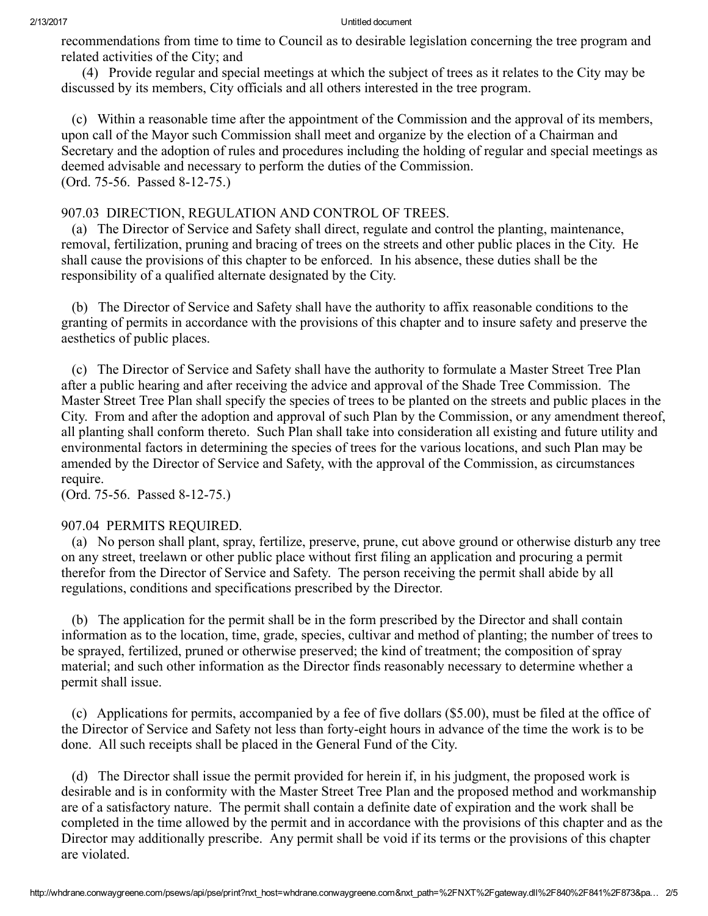recommendations from time to time to Council as to desirable legislation concerning the tree program and related activities of the City; and

(4) Provide regular and special meetings at which the subject of trees as it relates to the City may be discussed by its members, City officials and all others interested in the tree program.

(c) Within a reasonable time after the appointment of the Commission and the approval of its members, upon call of the Mayor such Commission shall meet and organize by the election of a Chairman and Secretary and the adoption of rules and procedures including the holding of regular and special meetings as deemed advisable and necessary to perform the duties of the Commission. (Ord. 75-56. Passed 8-12-75.)

## 907.03 DIRECTION, REGULATION AND CONTROL OF TREES.

(a) The Director of Service and Safety shall direct, regulate and control the planting, maintenance, removal, fertilization, pruning and bracing of trees on the streets and other public places in the City. He shall cause the provisions of this chapter to be enforced. In his absence, these duties shall be the responsibility of a qualified alternate designated by the City.

(b) The Director of Service and Safety shall have the authority to affix reasonable conditions to the granting of permits in accordance with the provisions of this chapter and to insure safety and preserve the aesthetics of public places.

(c) The Director of Service and Safety shall have the authority to formulate a Master Street Tree Plan after a public hearing and after receiving the advice and approval of the Shade Tree Commission. The Master Street Tree Plan shall specify the species of trees to be planted on the streets and public places in the City. From and after the adoption and approval of such Plan by the Commission, or any amendment thereof, all planting shall conform thereto. Such Plan shall take into consideration all existing and future utility and environmental factors in determining the species of trees for the various locations, and such Plan may be amended by the Director of Service and Safety, with the approval of the Commission, as circumstances require.

(Ord. 75-56. Passed 8-12-75.)

# 907.04 PERMITS REQUIRED.

(a) No person shall plant, spray, fertilize, preserve, prune, cut above ground or otherwise disturb any tree on any street, treelawn or other public place without first filing an application and procuring a permit therefor from the Director of Service and Safety. The person receiving the permit shall abide by all regulations, conditions and specifications prescribed by the Director.

(b) The application for the permit shall be in the form prescribed by the Director and shall contain information as to the location, time, grade, species, cultivar and method of planting; the number of trees to be sprayed, fertilized, pruned or otherwise preserved; the kind of treatment; the composition of spray material; and such other information as the Director finds reasonably necessary to determine whether a permit shall issue.

(c) Applications for permits, accompanied by a fee of five dollars (\$5.00), must be filed at the office of the Director of Service and Safety not less than forty-eight hours in advance of the time the work is to be done. All such receipts shall be placed in the General Fund of the City.

(d) The Director shall issue the permit provided for herein if, in his judgment, the proposed work is desirable and is in conformity with the Master Street Tree Plan and the proposed method and workmanship are of a satisfactory nature. The permit shall contain a definite date of expiration and the work shall be completed in the time allowed by the permit and in accordance with the provisions of this chapter and as the Director may additionally prescribe. Any permit shall be void if its terms or the provisions of this chapter are violated.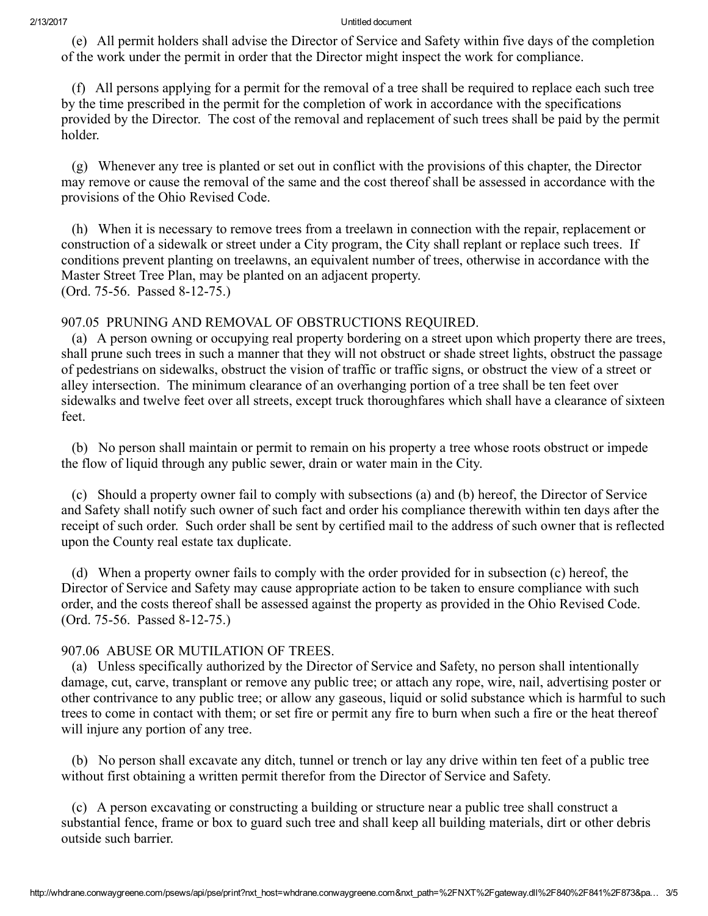(e) All permit holders shall advise the Director of Service and Safety within five days of the completion of the work under the permit in order that the Director might inspect the work for compliance.

(f) All persons applying for a permit for the removal of a tree shall be required to replace each such tree by the time prescribed in the permit for the completion of work in accordance with the specifications provided by the Director. The cost of the removal and replacement of such trees shall be paid by the permit holder.

(g) Whenever any tree is planted or set out in conflict with the provisions of this chapter, the Director may remove or cause the removal of the same and the cost thereof shall be assessed in accordance with the provisions of the Ohio Revised Code.

(h) When it is necessary to remove trees from a treelawn in connection with the repair, replacement or construction of a sidewalk or street under a City program, the City shall replant or replace such trees. If conditions prevent planting on treelawns, an equivalent number of trees, otherwise in accordance with the Master Street Tree Plan, may be planted on an adjacent property. (Ord. 75-56. Passed 8-12-75.)

## 907.05 PRUNING AND REMOVAL OF OBSTRUCTIONS REQUIRED.

(a) A person owning or occupying real property bordering on a street upon which property there are trees, shall prune such trees in such a manner that they will not obstruct or shade street lights, obstruct the passage of pedestrians on sidewalks, obstruct the vision of traffic or traffic signs, or obstruct the view of a street or alley intersection. The minimum clearance of an overhanging portion of a tree shall be ten feet over sidewalks and twelve feet over all streets, except truck thoroughfares which shall have a clearance of sixteen feet.

(b) No person shall maintain or permit to remain on his property a tree whose roots obstruct or impede the flow of liquid through any public sewer, drain or water main in the City.

(c) Should a property owner fail to comply with subsections (a) and (b) hereof, the Director of Service and Safety shall notify such owner of such fact and order his compliance therewith within ten days after the receipt of such order. Such order shall be sent by certified mail to the address of such owner that is reflected upon the County real estate tax duplicate.

(d) When a property owner fails to comply with the order provided for in subsection (c) hereof, the Director of Service and Safety may cause appropriate action to be taken to ensure compliance with such order, and the costs thereof shall be assessed against the property as provided in the Ohio Revised Code. (Ord. 75-56. Passed 8-12-75.)

## 907.06 ABUSE OR MUTILATION OF TREES.

(a) Unless specifically authorized by the Director of Service and Safety, no person shall intentionally damage, cut, carve, transplant or remove any public tree; or attach any rope, wire, nail, advertising poster or other contrivance to any public tree; or allow any gaseous, liquid or solid substance which is harmful to such trees to come in contact with them; or set fire or permit any fire to burn when such a fire or the heat thereof will injure any portion of any tree.

(b) No person shall excavate any ditch, tunnel or trench or lay any drive within ten feet of a public tree without first obtaining a written permit therefor from the Director of Service and Safety.

(c) A person excavating or constructing a building or structure near a public tree shall construct a substantial fence, frame or box to guard such tree and shall keep all building materials, dirt or other debris outside such barrier.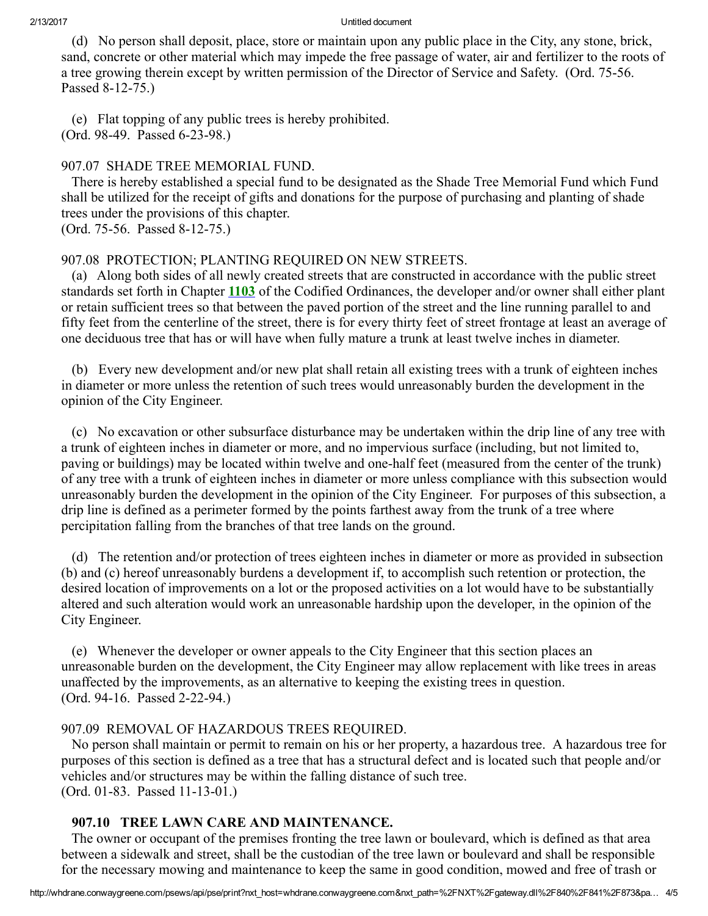(d) No person shall deposit, place, store or maintain upon any public place in the City, any stone, brick, sand, concrete or other material which may impede the free passage of water, air and fertilizer to the roots of a tree growing therein except by written permission of the Director of Service and Safety. (Ord. 75-56.) Passed 8-12-75.)

(e) Flat topping of any public trees is hereby prohibited. (Ord. 98-49. Passed 6-23-98.)

## 907.07 SHADE TREE MEMORIAL FUND.

There is hereby established a special fund to be designated as the Shade Tree Memorial Fund which Fund shall be utilized for the receipt of gifts and donations for the purpose of purchasing and planting of shade trees under the provisions of this chapter.

(Ord. 75-56. Passed 8-12-75.)

## 907.08 PROTECTION; PLANTING REQUIRED ON NEW STREETS.

(a) Along both sides of all newly created streets that are constructed in accordance with the public street standards set forth in Chapter [1103](http://whdrane.conwaygreene.com/nxt/gateway.dll?f=jumplink$jumplink_x=Advanced$jumplink_vpc=first$jumplink_xsl=querylink.xsl$jumplink_sel=title;path;content-type;home-title;item-bookmark$jumplink_d=bellefon$jumplink_q=[field%20folio-destination-name:%271103%27]$jumplink_md=target-id=0-0-0-1909) of the Codified Ordinances, the developer and/or owner shall either plant or retain sufficient trees so that between the paved portion of the street and the line running parallel to and fifty feet from the centerline of the street, there is for every thirty feet of street frontage at least an average of one deciduous tree that has or will have when fully mature a trunk at least twelve inches in diameter.

(b) Every new development and/or new plat shall retain all existing trees with a trunk of eighteen inches in diameter or more unless the retention of such trees would unreasonably burden the development in the opinion of the City Engineer.

(c) No excavation or other subsurface disturbance may be undertaken within the drip line of any tree with a trunk of eighteen inches in diameter or more, and no impervious surface (including, but not limited to, paving or buildings) may be located within twelve and onehalf feet (measured from the center of the trunk) of any tree with a trunk of eighteen inches in diameter or more unless compliance with this subsection would unreasonably burden the development in the opinion of the City Engineer. For purposes of this subsection, a drip line is defined as a perimeter formed by the points farthest away from the trunk of a tree where percipitation falling from the branches of that tree lands on the ground.

(d) The retention and/or protection of trees eighteen inches in diameter or more as provided in subsection (b) and (c) hereof unreasonably burdens a development if, to accomplish such retention or protection, the desired location of improvements on a lot or the proposed activities on a lot would have to be substantially altered and such alteration would work an unreasonable hardship upon the developer, in the opinion of the City Engineer.

(e) Whenever the developer or owner appeals to the City Engineer that this section places an unreasonable burden on the development, the City Engineer may allow replacement with like trees in areas unaffected by the improvements, as an alternative to keeping the existing trees in question. (Ord. 94-16. Passed 2-22-94.)

## 907.09 REMOVAL OF HAZARDOUS TREES REQUIRED.

No person shall maintain or permit to remain on his or her property, a hazardous tree. A hazardous tree for purposes of this section is defined as a tree that has a structural defect and is located such that people and/or vehicles and/or structures may be within the falling distance of such tree.  $(Ord. 01-83.$  Passed  $11-13-01.$ )

## 907.10 TREE LAWN CARE AND MAINTENANCE.

The owner or occupant of the premises fronting the tree lawn or boulevard, which is defined as that area between a sidewalk and street, shall be the custodian of the tree lawn or boulevard and shall be responsible for the necessary mowing and maintenance to keep the same in good condition, mowed and free of trash or